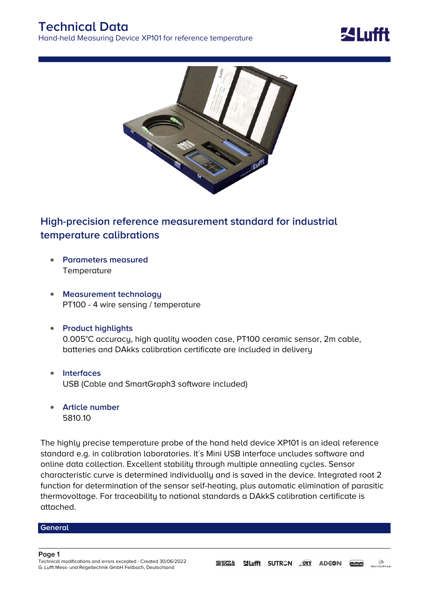



## **High-precision reference measurement standard for industrial temperature calibrations**

- **Parameters measured Temperature**
- **Measurement technology** PT100 - 4 wire sensing / temperature
- **Product highlights** 0.005°C accuracy, high quality wooden case, PT100 ceramic sensor, 2m cable, batteries and DAkks calibration certificate are included in delivery
- **Interfaces** USB (Cable and SmartGraph3 software included)
- **Article number** 5810.10

The highly precise temperature probe of the hand held device XP101 is an ideal reference standard e.g. in calibration laboratories. It´s Mini USB interface uncludes software and online data collection. Excellent stability through multiple annealing cycles. Sensor characteristic curve is determined individually and is saved in the device. Integrated root 2 function for determination of the sensor self-heating, plus automatic elimination of parasitic thermovoltage. For traceability to national standards a DAkkS calibration certificate is attached.

## **General**

**Page 1**